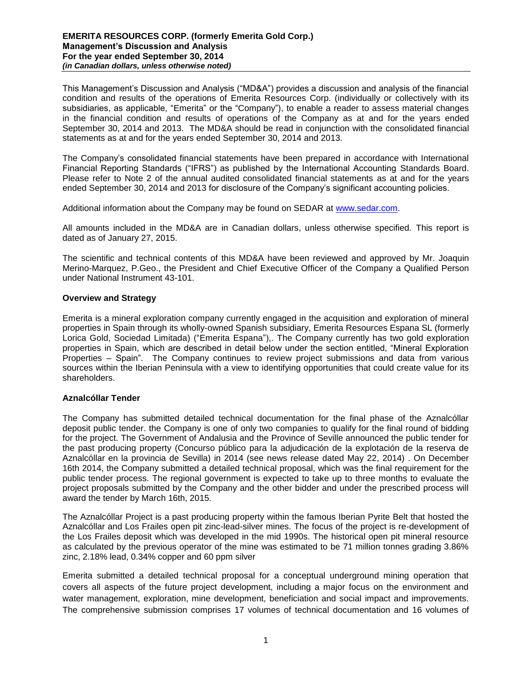This Management's Discussion and Analysis ("MD&A") provides a discussion and analysis of the financial condition and results of the operations of Emerita Resources Corp. (individually or collectively with its subsidiaries, as applicable, "Emerita" or the "Company"), to enable a reader to assess material changes in the financial condition and results of operations of the Company as at and for the years ended September 30, 2014 and 2013. The MD&A should be read in conjunction with the consolidated financial statements as at and for the years ended September 30, 2014 and 2013.

The Company's consolidated financial statements have been prepared in accordance with International Financial Reporting Standards ("IFRS") as published by the International Accounting Standards Board. Please refer to Note 2 of the annual audited consolidated financial statements as at and for the years ended September 30, 2014 and 2013 for disclosure of the Company's significant accounting policies.

Additional information about the Company may be found on SEDAR at [www.sedar.com.](http://www.sedar.com/)

All amounts included in the MD&A are in Canadian dollars, unless otherwise specified. This report is dated as of January 27, 2015.

The scientific and technical contents of this MD&A have been reviewed and approved by Mr. Joaquin Merino-Marquez, P.Geo., the President and Chief Executive Officer of the Company a Qualified Person under National Instrument 43-101.

#### **Overview and Strategy**

Emerita is a mineral exploration company currently engaged in the acquisition and exploration of mineral properties in Spain through its wholly-owned Spanish subsidiary, Emerita Resources Espana SL (formerly Lorica Gold, Sociedad Limitada) ("Emerita Espana"),. The Company currently has two gold exploration properties in Spain, which are described in detail below under the section entitled, "Mineral Exploration Properties – Spain". The Company continues to review project submissions and data from various sources within the Iberian Peninsula with a view to identifying opportunities that could create value for its shareholders.

## **Aznalcóllar Tender**

The Company has submitted detailed technical documentation for the final phase of the Aznalcóllar deposit public tender. the Company is one of only two companies to qualify for the final round of bidding for the project. The Government of Andalusia and the Province of Seville announced the public tender for the past producing property (Concurso público para la adjudicación de la explotación de la reserva de Aznalcóllar en la provincia de Sevilla) in 2014 (see news release dated May 22, 2014) . On December 16th 2014, the Company submitted a detailed technical proposal, which was the final requirement for the public tender process. The regional government is expected to take up to three months to evaluate the project proposals submitted by the Company and the other bidder and under the prescribed process will award the tender by March 16th, 2015.

The Aznalcóllar Project is a past producing property within the famous Iberian Pyrite Belt that hosted the Aznalcóllar and Los Frailes open pit zinc-lead-silver mines. The focus of the project is re-development of the Los Frailes deposit which was developed in the mid 1990s. The historical open pit mineral resource as calculated by the previous operator of the mine was estimated to be 71 million tonnes grading 3.86% zinc, 2.18% lead, 0.34% copper and 60 ppm silver

Emerita submitted a detailed technical proposal for a conceptual underground mining operation that covers all aspects of the future project development, including a major focus on the environment and water management, exploration, mine development, beneficiation and social impact and improvements. The comprehensive submission comprises 17 volumes of technical documentation and 16 volumes of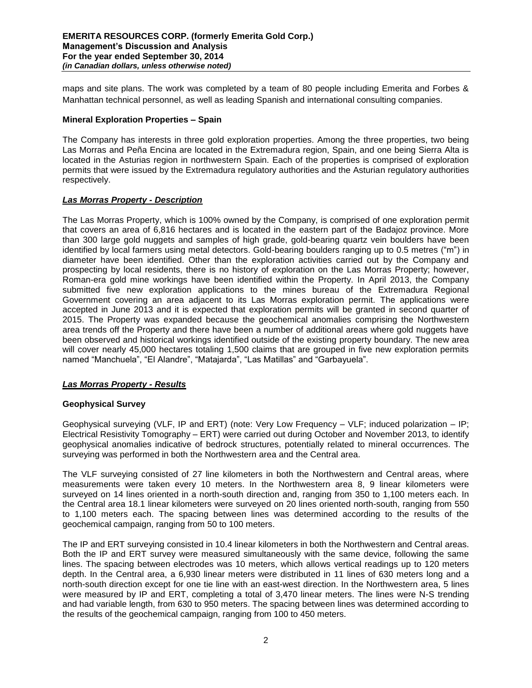maps and site plans. The work was completed by a team of 80 people including Emerita and Forbes & Manhattan technical personnel, as well as leading Spanish and international consulting companies.

## **Mineral Exploration Properties – Spain**

The Company has interests in three gold exploration properties. Among the three properties, two being Las Morras and Peña Encina are located in the Extremadura region, Spain, and one being Sierra Alta is located in the Asturias region in northwestern Spain. Each of the properties is comprised of exploration permits that were issued by the Extremadura regulatory authorities and the Asturian regulatory authorities respectively.

## *Las Morras Property - Description*

The Las Morras Property, which is 100% owned by the Company, is comprised of one exploration permit that covers an area of 6,816 hectares and is located in the eastern part of the Badajoz province. More than 300 large gold nuggets and samples of high grade, gold-bearing quartz vein boulders have been identified by local farmers using metal detectors. Gold-bearing boulders ranging up to 0.5 metres ("m") in diameter have been identified. Other than the exploration activities carried out by the Company and prospecting by local residents, there is no history of exploration on the Las Morras Property; however, Roman-era gold mine workings have been identified within the Property. In April 2013, the Company submitted five new exploration applications to the mines bureau of the Extremadura Regional Government covering an area adjacent to its Las Morras exploration permit. The applications were accepted in June 2013 and it is expected that exploration permits will be granted in second quarter of 2015. The Property was expanded because the geochemical anomalies comprising the Northwestern area trends off the Property and there have been a number of additional areas where gold nuggets have been observed and historical workings identified outside of the existing property boundary. The new area will cover nearly 45,000 hectares totaling 1,500 claims that are grouped in five new exploration permits named "Manchuela", "El Alandre", "Matajarda", "Las Matillas" and "Garbayuela".

# *Las Morras Property - Results*

# **Geophysical Survey**

Geophysical surveying (VLF, IP and ERT) (note: Very Low Frequency – VLF; induced polarization – IP; Electrical Resistivity Tomography – ERT) were carried out during October and November 2013, to identify geophysical anomalies indicative of bedrock structures, potentially related to mineral occurrences. The surveying was performed in both the Northwestern area and the Central area.

The VLF surveying consisted of 27 line kilometers in both the Northwestern and Central areas, where measurements were taken every 10 meters. In the Northwestern area 8, 9 linear kilometers were surveyed on 14 lines oriented in a north-south direction and, ranging from 350 to 1,100 meters each. In the Central area 18.1 linear kilometers were surveyed on 20 lines oriented north-south, ranging from 550 to 1,100 meters each. The spacing between lines was determined according to the results of the geochemical campaign, ranging from 50 to 100 meters.

The IP and ERT surveying consisted in 10.4 linear kilometers in both the Northwestern and Central areas. Both the IP and ERT survey were measured simultaneously with the same device, following the same lines. The spacing between electrodes was 10 meters, which allows vertical readings up to 120 meters depth. In the Central area, a 6,930 linear meters were distributed in 11 lines of 630 meters long and a north-south direction except for one tie line with an east-west direction. In the Northwestern area, 5 lines were measured by IP and ERT, completing a total of 3,470 linear meters. The lines were N-S trending and had variable length, from 630 to 950 meters. The spacing between lines was determined according to the results of the geochemical campaign, ranging from 100 to 450 meters.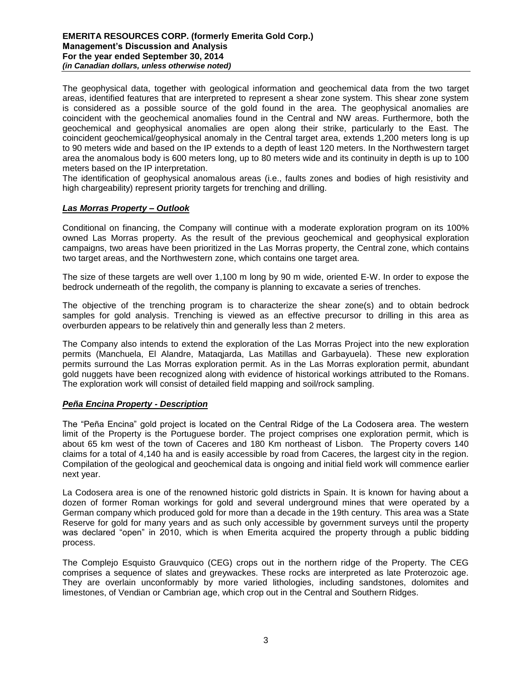The geophysical data, together with geological information and geochemical data from the two target areas, identified features that are interpreted to represent a shear zone system. This shear zone system is considered as a possible source of the gold found in the area. The geophysical anomalies are coincident with the geochemical anomalies found in the Central and NW areas. Furthermore, both the geochemical and geophysical anomalies are open along their strike, particularly to the East. The coincident geochemical/geophysical anomaly in the Central target area, extends 1,200 meters long is up to 90 meters wide and based on the IP extends to a depth of least 120 meters. In the Northwestern target area the anomalous body is 600 meters long, up to 80 meters wide and its continuity in depth is up to 100 meters based on the IP interpretation.

The identification of geophysical anomalous areas (i.e., faults zones and bodies of high resistivity and high chargeability) represent priority targets for trenching and drilling.

## *Las Morras Property – Outlook*

Conditional on financing, the Company will continue with a moderate exploration program on its 100% owned Las Morras property. As the result of the previous geochemical and geophysical exploration campaigns, two areas have been prioritized in the Las Morras property, the Central zone, which contains two target areas, and the Northwestern zone, which contains one target area.

The size of these targets are well over 1,100 m long by 90 m wide, oriented E-W. In order to expose the bedrock underneath of the regolith, the company is planning to excavate a series of trenches.

The objective of the trenching program is to characterize the shear zone(s) and to obtain bedrock samples for gold analysis. Trenching is viewed as an effective precursor to drilling in this area as overburden appears to be relatively thin and generally less than 2 meters.

The Company also intends to extend the exploration of the Las Morras Project into the new exploration permits (Manchuela, El Alandre, Mataqjarda, Las Matillas and Garbayuela). These new exploration permits surround the Las Morras exploration permit. As in the Las Morras exploration permit, abundant gold nuggets have been recognized along with evidence of historical workings attributed to the Romans. The exploration work will consist of detailed field mapping and soil/rock sampling.

## *Peña Encina Property - Description*

The "Peña Encina" gold project is located on the Central Ridge of the La Codosera area. The western limit of the Property is the Portuguese border. The project comprises one exploration permit, which is about 65 km west of the town of Caceres and 180 Km northeast of Lisbon. The Property covers 140 claims for a total of 4,140 ha and is easily accessible by road from Caceres, the largest city in the region. Compilation of the geological and geochemical data is ongoing and initial field work will commence earlier next year.

La Codosera area is one of the renowned historic gold districts in Spain. It is known for having about a dozen of former Roman workings for gold and several underground mines that were operated by a German company which produced gold for more than a decade in the 19th century. This area was a State Reserve for gold for many years and as such only accessible by government surveys until the property was declared "open" in 2010, which is when Emerita acquired the property through a public bidding process.

The Complejo Esquisto Grauvquico (CEG) crops out in the northern ridge of the Property. The CEG comprises a sequence of slates and greywackes. These rocks are interpreted as late Proterozoic age. They are overlain unconformably by more varied lithologies, including sandstones, dolomites and limestones, of Vendian or Cambrian age, which crop out in the Central and Southern Ridges.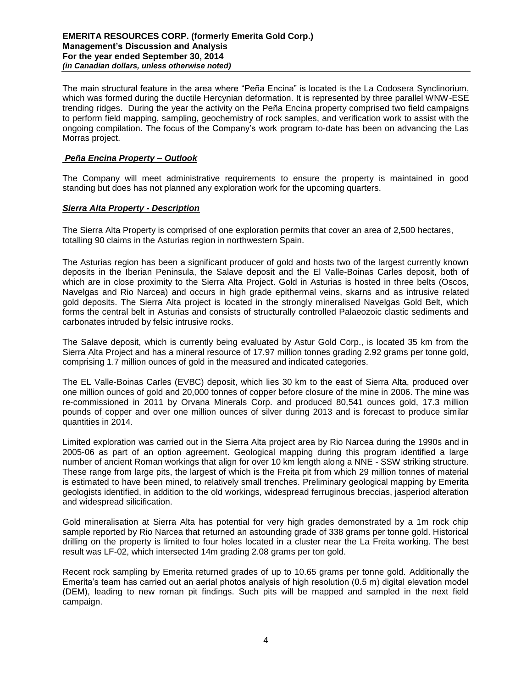The main structural feature in the area where "Peña Encina" is located is the La Codosera Synclinorium, which was formed during the ductile Hercynian deformation. It is represented by three parallel WNW-ESE trending ridges. During the year the activity on the Peña Encina property comprised two field campaigns to perform field mapping, sampling, geochemistry of rock samples, and verification work to assist with the ongoing compilation. The focus of the Company's work program to-date has been on advancing the Las Morras project.

# *Peña Encina Property – Outlook*

The Company will meet administrative requirements to ensure the property is maintained in good standing but does has not planned any exploration work for the upcoming quarters.

## *Sierra Alta Property - Description*

The Sierra Alta Property is comprised of one exploration permits that cover an area of 2,500 hectares, totalling 90 claims in the Asturias region in northwestern Spain.

The Asturias region has been a significant producer of gold and hosts two of the largest currently known deposits in the Iberian Peninsula, the Salave deposit and the El Valle-Boinas Carles deposit, both of which are in close proximity to the Sierra Alta Project. Gold in Asturias is hosted in three belts (Oscos, Navelgas and Rio Narcea) and occurs in high grade epithermal veins, skarns and as intrusive related gold deposits. The Sierra Alta project is located in the strongly mineralised Navelgas Gold Belt, which forms the central belt in Asturias and consists of structurally controlled Palaeozoic clastic sediments and carbonates intruded by felsic intrusive rocks.

The Salave deposit, which is currently being evaluated by Astur Gold Corp., is located 35 km from the Sierra Alta Project and has a mineral resource of 17.97 million tonnes grading 2.92 grams per tonne gold, comprising 1.7 million ounces of gold in the measured and indicated categories.

The EL Valle-Boinas Carles (EVBC) deposit, which lies 30 km to the east of Sierra Alta, produced over one million ounces of gold and 20,000 tonnes of copper before closure of the mine in 2006. The mine was re-commissioned in 2011 by Orvana Minerals Corp. and produced 80,541 ounces gold, 17.3 million pounds of copper and over one million ounces of silver during 2013 and is forecast to produce similar quantities in 2014.

Limited exploration was carried out in the Sierra Alta project area by Rio Narcea during the 1990s and in 2005-06 as part of an option agreement. Geological mapping during this program identified a large number of ancient Roman workings that align for over 10 km length along a NNE - SSW striking structure. These range from large pits, the largest of which is the Freita pit from which 29 million tonnes of material is estimated to have been mined, to relatively small trenches. Preliminary geological mapping by Emerita geologists identified, in addition to the old workings, widespread ferruginous breccias, jasperiod alteration and widespread silicification.

Gold mineralisation at Sierra Alta has potential for very high grades demonstrated by a 1m rock chip sample reported by Rio Narcea that returned an astounding grade of 338 grams per tonne gold. Historical drilling on the property is limited to four holes located in a cluster near the La Freita working. The best result was LF-02, which intersected 14m grading 2.08 grams per ton gold.

Recent rock sampling by Emerita returned grades of up to 10.65 grams per tonne gold. Additionally the Emerita's team has carried out an aerial photos analysis of high resolution (0.5 m) digital elevation model (DEM), leading to new roman pit findings. Such pits will be mapped and sampled in the next field campaign.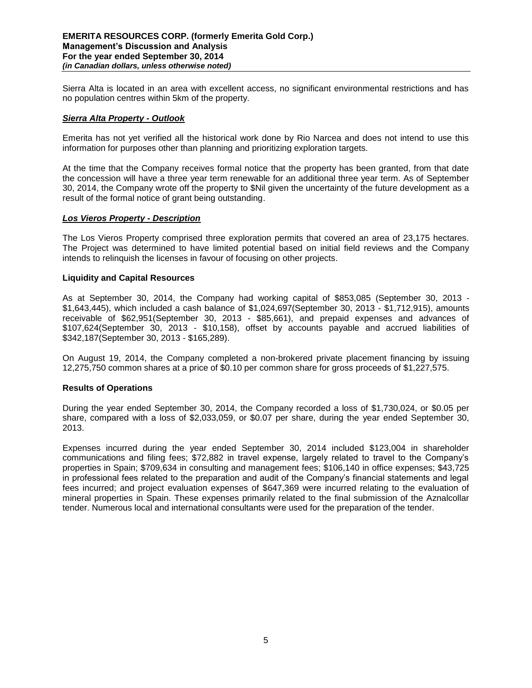Sierra Alta is located in an area with excellent access, no significant environmental restrictions and has no population centres within 5km of the property.

## *Sierra Alta Property - Outlook*

Emerita has not yet verified all the historical work done by Rio Narcea and does not intend to use this information for purposes other than planning and prioritizing exploration targets.

At the time that the Company receives formal notice that the property has been granted, from that date the concession will have a three year term renewable for an additional three year term. As of September 30, 2014, the Company wrote off the property to \$Nil given the uncertainty of the future development as a result of the formal notice of grant being outstanding.

#### *Los Vieros Property - Description*

The Los Vieros Property comprised three exploration permits that covered an area of 23,175 hectares. The Project was determined to have limited potential based on initial field reviews and the Company intends to relinquish the licenses in favour of focusing on other projects.

#### **Liquidity and Capital Resources**

As at September 30, 2014, the Company had working capital of \$853,085 (September 30, 2013 - \$1,643,445), which included a cash balance of \$1,024,697(September 30, 2013 - \$1,712,915), amounts receivable of \$62,951(September 30, 2013 - \$85,661), and prepaid expenses and advances of \$107,624(September 30, 2013 - \$10,158), offset by accounts payable and accrued liabilities of \$342,187(September 30, 2013 - \$165,289).

On August 19, 2014, the Company completed a non-brokered private placement financing by issuing 12,275,750 common shares at a price of \$0.10 per common share for gross proceeds of \$1,227,575.

#### **Results of Operations**

During the year ended September 30, 2014, the Company recorded a loss of \$1,730,024, or \$0.05 per share, compared with a loss of \$2,033,059, or \$0.07 per share, during the year ended September 30, 2013.

Expenses incurred during the year ended September 30, 2014 included \$123,004 in shareholder communications and filing fees; \$72,882 in travel expense, largely related to travel to the Company's properties in Spain; \$709,634 in consulting and management fees; \$106,140 in office expenses; \$43,725 in professional fees related to the preparation and audit of the Company's financial statements and legal fees incurred; and project evaluation expenses of \$647,369 were incurred relating to the evaluation of mineral properties in Spain. These expenses primarily related to the final submission of the Aznalcollar tender. Numerous local and international consultants were used for the preparation of the tender.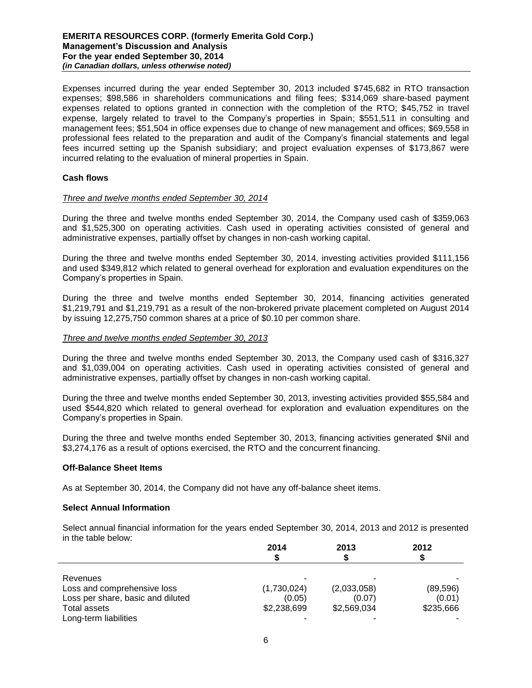Expenses incurred during the year ended September 30, 2013 included \$745,682 in RTO transaction expenses; \$98,586 in shareholders communications and filing fees; \$314,069 share-based payment expenses related to options granted in connection with the completion of the RTO; \$45,752 in travel expense, largely related to travel to the Company's properties in Spain; \$551,511 in consulting and management fees; \$51,504 in office expenses due to change of new management and offices; \$69,558 in professional fees related to the preparation and audit of the Company's financial statements and legal fees incurred setting up the Spanish subsidiary; and project evaluation expenses of \$173,867 were incurred relating to the evaluation of mineral properties in Spain.

## **Cash flows**

## *Three and twelve months ended September 30, 2014*

During the three and twelve months ended September 30, 2014, the Company used cash of \$359,063 and \$1,525,300 on operating activities. Cash used in operating activities consisted of general and administrative expenses, partially offset by changes in non-cash working capital.

During the three and twelve months ended September 30, 2014, investing activities provided \$111,156 and used \$349,812 which related to general overhead for exploration and evaluation expenditures on the Company's properties in Spain.

During the three and twelve months ended September 30, 2014, financing activities generated \$1,219,791 and \$1,219,791 as a result of the non-brokered private placement completed on August 2014 by issuing 12,275,750 common shares at a price of \$0.10 per common share.

#### *Three and twelve months ended September 30, 2013*

During the three and twelve months ended September 30, 2013, the Company used cash of \$316,327 and \$1,039,004 on operating activities. Cash used in operating activities consisted of general and administrative expenses, partially offset by changes in non-cash working capital.

During the three and twelve months ended September 30, 2013, investing activities provided \$55,584 and used \$544,820 which related to general overhead for exploration and evaluation expenditures on the Company's properties in Spain.

During the three and twelve months ended September 30, 2013, financing activities generated \$Nil and \$3,274,176 as a result of options exercised, the RTO and the concurrent financing.

#### **Off-Balance Sheet Items**

As at September 30, 2014, the Company did not have any off-balance sheet items.

#### **Select Annual Information**

Select annual financial information for the years ended September 30, 2014, 2013 and 2012 is presented in the table below:

|                                   | 2014        | 2013        | 2012      |
|-----------------------------------|-------------|-------------|-----------|
|                                   |             |             |           |
|                                   |             |             |           |
| Revenues                          |             |             |           |
| Loss and comprehensive loss       | (1,730,024) | (2,033,058) | (89, 596) |
| Loss per share, basic and diluted | (0.05)      | (0.07)      | (0.01)    |
| Total assets                      | \$2,238,699 | \$2,569,034 | \$235,666 |
| Long-term liabilities             |             |             |           |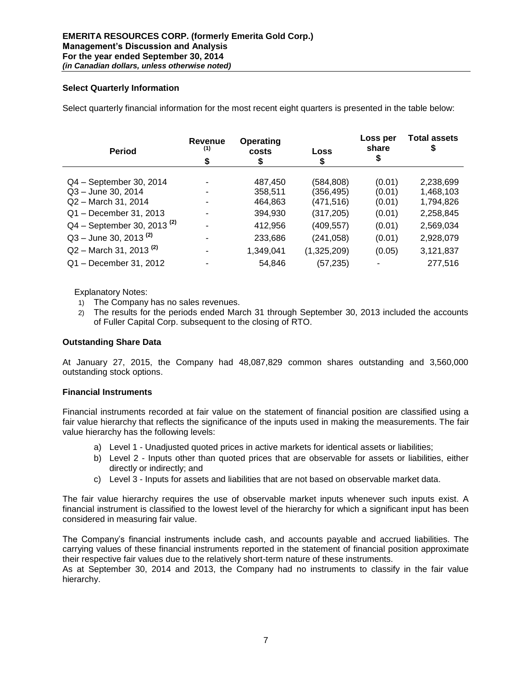## **Select Quarterly Information**

Select quarterly financial information for the most recent eight quarters is presented in the table below:

| <b>Period</b>                                                                                                                                                                                                    | Revenue<br>(1)<br>S | Operating<br>costs<br>\$                                                    | Loss<br>\$                                                                                    | Loss per<br>share<br>\$                                            | <b>Total assets</b><br>S                                                                |
|------------------------------------------------------------------------------------------------------------------------------------------------------------------------------------------------------------------|---------------------|-----------------------------------------------------------------------------|-----------------------------------------------------------------------------------------------|--------------------------------------------------------------------|-----------------------------------------------------------------------------------------|
| Q4 - September 30, 2014<br>Q3 - June 30, 2014<br>Q2 - March 31, 2014<br>Q1 - December 31, 2013<br>$Q4 - September 30, 2013^{(2)}$<br>$Q3 -$ June 30, 2013 <sup>(2)</sup><br>$Q2 -$ March 31, 2013 <sup>(2)</sup> |                     | 487,450<br>358,511<br>464,863<br>394,930<br>412,956<br>233,686<br>1,349,041 | (584,808)<br>(356, 495)<br>(471,516)<br>(317, 205)<br>(409, 557)<br>(241, 058)<br>(1,325,209) | (0.01)<br>(0.01)<br>(0.01)<br>(0.01)<br>(0.01)<br>(0.01)<br>(0.05) | 2,238,699<br>1,468,103<br>1,794,826<br>2,258,845<br>2,569,034<br>2,928,079<br>3,121,837 |
| Q1 - December 31, 2012                                                                                                                                                                                           |                     | 54,846                                                                      | (57, 235)                                                                                     |                                                                    | 277,516                                                                                 |

Explanatory Notes:

- 1) The Company has no sales revenues.
- 2) The results for the periods ended March 31 through September 30, 2013 included the accounts of Fuller Capital Corp. subsequent to the closing of RTO.

#### **Outstanding Share Data**

At January 27, 2015, the Company had 48,087,829 common shares outstanding and 3,560,000 outstanding stock options.

#### **Financial Instruments**

Financial instruments recorded at fair value on the statement of financial position are classified using a fair value hierarchy that reflects the significance of the inputs used in making the measurements. The fair value hierarchy has the following levels:

- a) Level 1 Unadjusted quoted prices in active markets for identical assets or liabilities;
- b) Level 2 Inputs other than quoted prices that are observable for assets or liabilities, either directly or indirectly; and
- c) Level 3 Inputs for assets and liabilities that are not based on observable market data.

The fair value hierarchy requires the use of observable market inputs whenever such inputs exist. A financial instrument is classified to the lowest level of the hierarchy for which a significant input has been considered in measuring fair value.

The Company's financial instruments include cash, and accounts payable and accrued liabilities. The carrying values of these financial instruments reported in the statement of financial position approximate their respective fair values due to the relatively short-term nature of these instruments. As at September 30, 2014 and 2013, the Company had no instruments to classify in the fair value

hierarchy.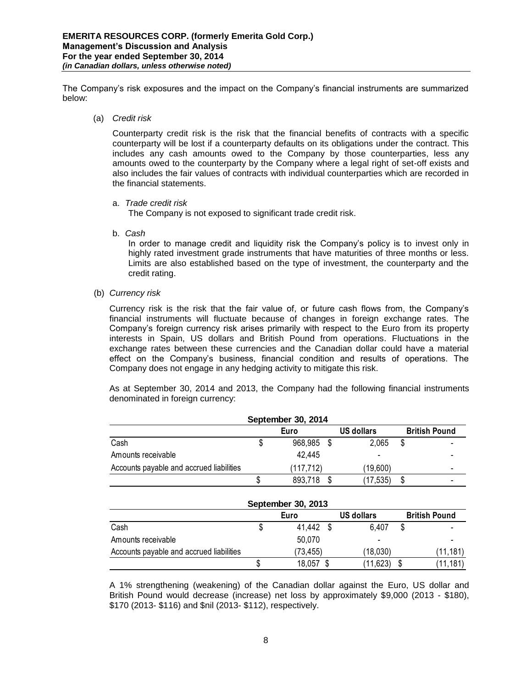The Company's risk exposures and the impact on the Company's financial instruments are summarized below:

(a) *Credit risk* 

Counterparty credit risk is the risk that the financial benefits of contracts with a specific counterparty will be lost if a counterparty defaults on its obligations under the contract. This includes any cash amounts owed to the Company by those counterparties, less any amounts owed to the counterparty by the Company where a legal right of set-off exists and also includes the fair values of contracts with individual counterparties which are recorded in the financial statements.

a. *Trade credit risk*

The Company is not exposed to significant trade credit risk.

b. *Cash*

In order to manage credit and liquidity risk the Company's policy is to invest only in highly rated investment grade instruments that have maturities of three months or less. Limits are also established based on the type of investment, the counterparty and the credit rating.

(b) *Currency risk* 

Currency risk is the risk that the fair value of, or future cash flows from, the Company's financial instruments will fluctuate because of changes in foreign exchange rates. The Company's foreign currency risk arises primarily with respect to the Euro from its property interests in Spain, US dollars and British Pound from operations. Fluctuations in the exchange rates between these currencies and the Canadian dollar could have a material effect on the Company's business, financial condition and results of operations. The Company does not engage in any hedging activity to mitigate this risk.

As at September 30, 2014 and 2013, the Company had the following financial instruments denominated in foreign currency:

| September 30, 2014                       |   |            |  |                          |   |                      |
|------------------------------------------|---|------------|--|--------------------------|---|----------------------|
|                                          |   | Euro       |  | US dollars               |   | <b>British Pound</b> |
| Cash                                     | S | 968,985 \$ |  | 2,065                    | S |                      |
| Amounts receivable                       |   | 42.445     |  | $\overline{\phantom{a}}$ |   |                      |
| Accounts payable and accrued liabilities |   | (117,712)  |  | (19,600)                 |   |                      |
|                                          |   | 893,718    |  | (17, 535)                |   |                      |

| September 30, 2013                         |   |           |  |           |   |           |  |
|--------------------------------------------|---|-----------|--|-----------|---|-----------|--|
| US dollars<br><b>British Pound</b><br>Euro |   |           |  |           |   |           |  |
| Cash                                       | S | 41,442 \$ |  | 6.407     | S |           |  |
| Amounts receivable                         |   | 50,070    |  |           |   |           |  |
| Accounts payable and accrued liabilities   |   | (73, 455) |  | (18,030)  |   | (11,181)  |  |
|                                            |   | 18,057 \$ |  | (11, 623) |   | (11, 181) |  |

A 1% strengthening (weakening) of the Canadian dollar against the Euro, US dollar and British Pound would decrease (increase) net loss by approximately \$9,000 (2013 - \$180), \$170 (2013- \$116) and \$nil (2013- \$112), respectively.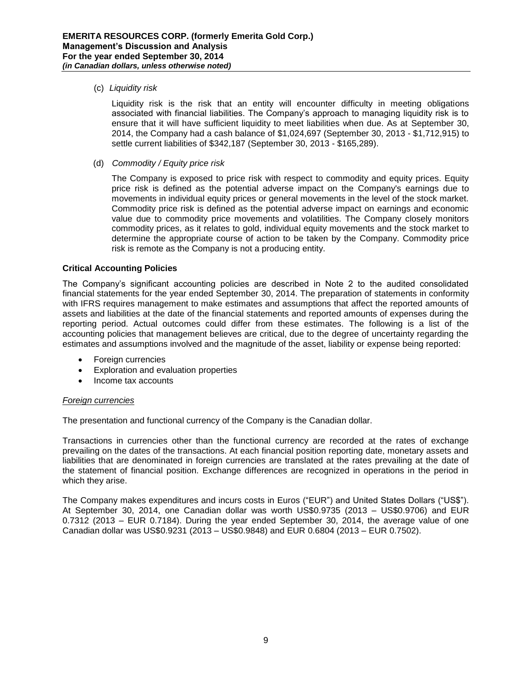## (c) *Liquidity risk*

Liquidity risk is the risk that an entity will encounter difficulty in meeting obligations associated with financial liabilities. The Company's approach to managing liquidity risk is to ensure that it will have sufficient liquidity to meet liabilities when due. As at September 30, 2014, the Company had a cash balance of \$1,024,697 (September 30, 2013 - \$1,712,915) to settle current liabilities of \$342,187 (September 30, 2013 - \$165,289).

## (d) *Commodity / Equity price risk*

The Company is exposed to price risk with respect to commodity and equity prices. Equity price risk is defined as the potential adverse impact on the Company's earnings due to movements in individual equity prices or general movements in the level of the stock market. Commodity price risk is defined as the potential adverse impact on earnings and economic value due to commodity price movements and volatilities. The Company closely monitors commodity prices, as it relates to gold, individual equity movements and the stock market to determine the appropriate course of action to be taken by the Company. Commodity price risk is remote as the Company is not a producing entity.

# **Critical Accounting Policies**

The Company's significant accounting policies are described in Note 2 to the audited consolidated financial statements for the year ended September 30, 2014. The preparation of statements in conformity with IFRS requires management to make estimates and assumptions that affect the reported amounts of assets and liabilities at the date of the financial statements and reported amounts of expenses during the reporting period. Actual outcomes could differ from these estimates. The following is a list of the accounting policies that management believes are critical, due to the degree of uncertainty regarding the estimates and assumptions involved and the magnitude of the asset, liability or expense being reported:

- Foreign currencies
- Exploration and evaluation properties
- Income tax accounts

## *Foreign currencies*

The presentation and functional currency of the Company is the Canadian dollar.

Transactions in currencies other than the functional currency are recorded at the rates of exchange prevailing on the dates of the transactions. At each financial position reporting date, monetary assets and liabilities that are denominated in foreign currencies are translated at the rates prevailing at the date of the statement of financial position. Exchange differences are recognized in operations in the period in which they arise.

The Company makes expenditures and incurs costs in Euros ("EUR") and United States Dollars ("US\$"). At September 30, 2014, one Canadian dollar was worth US\$0.9735 (2013 – US\$0.9706) and EUR 0.7312 (2013 – EUR 0.7184). During the year ended September 30, 2014, the average value of one Canadian dollar was US\$0.9231 (2013 – US\$0.9848) and EUR 0.6804 (2013 – EUR 0.7502).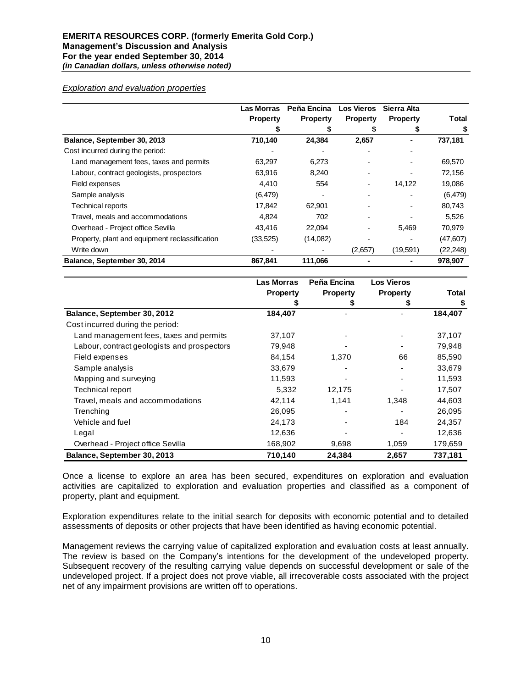*Exploration and evaluation properties*

|                                                | <b>Las Morras</b> | Peña Encina     | <b>Los Vieros</b> | Sierra Alta     |           |
|------------------------------------------------|-------------------|-----------------|-------------------|-----------------|-----------|
|                                                | <b>Property</b>   | <b>Property</b> | <b>Property</b>   | <b>Property</b> | Total     |
|                                                |                   |                 |                   |                 |           |
| Balance, September 30, 2013                    | 710,140           | 24,384          | 2,657             |                 | 737,181   |
| Cost incurred during the period:               |                   |                 |                   |                 |           |
| Land management fees, taxes and permits        | 63,297            | 6,273           |                   |                 | 69,570    |
| Labour, contract geologists, prospectors       | 63,916            | 8,240           |                   |                 | 72,156    |
| Field expenses                                 | 4,410             | 554             |                   | 14,122          | 19,086    |
| Sample analysis                                | (6, 479)          |                 |                   |                 | (6, 479)  |
| <b>Technical reports</b>                       | 17,842            | 62,901          |                   |                 | 80,743    |
| Travel, meals and accommodations               | 4,824             | 702             |                   |                 | 5,526     |
| Overhead - Project office Sevilla              | 43.416            | 22,094          |                   | 5,469           | 70,979    |
| Property, plant and equipment reclassification | (33, 525)         | (14,082)        |                   |                 | (47, 607) |
| Write down                                     |                   |                 | (2,657)           | (19, 591)       | (22, 248) |
| Balance, September 30, 2014                    | 867,841           | 111,066         |                   |                 | 978,907   |

|                                             | <b>Las Morras</b> | Peña Encina     | <b>Los Vieros</b> |         |
|---------------------------------------------|-------------------|-----------------|-------------------|---------|
|                                             | <b>Property</b>   | <b>Property</b> | <b>Property</b>   | Total   |
|                                             |                   |                 |                   | 5       |
| Balance, September 30, 2012                 | 184,407           |                 |                   | 184,407 |
| Cost incurred during the period:            |                   |                 |                   |         |
| Land management fees, taxes and permits     | 37,107            |                 |                   | 37,107  |
| Labour, contract geologists and prospectors | 79,948            |                 |                   | 79,948  |
| Field expenses                              | 84,154            | 1,370           | 66                | 85,590  |
| Sample analysis                             | 33,679            |                 |                   | 33,679  |
| Mapping and surveying                       | 11,593            |                 |                   | 11,593  |
| Technical report                            | 5,332             | 12,175          |                   | 17,507  |
| Travel, meals and accommodations            | 42,114            | 1,141           | 1,348             | 44,603  |
| Trenching                                   | 26,095            |                 |                   | 26,095  |
| Vehicle and fuel                            | 24,173            |                 | 184               | 24,357  |
| Legal                                       | 12,636            |                 |                   | 12,636  |
| Overhead - Project office Sevilla           | 168,902           | 9,698           | 1,059             | 179,659 |
| Balance, September 30, 2013                 | 710,140           | 24,384          | 2,657             | 737,181 |

Once a license to explore an area has been secured, expenditures on exploration and evaluation activities are capitalized to exploration and evaluation properties and classified as a component of property, plant and equipment.

Exploration expenditures relate to the initial search for deposits with economic potential and to detailed assessments of deposits or other projects that have been identified as having economic potential.

Management reviews the carrying value of capitalized exploration and evaluation costs at least annually. The review is based on the Company's intentions for the development of the undeveloped property. Subsequent recovery of the resulting carrying value depends on successful development or sale of the undeveloped project. If a project does not prove viable, all irrecoverable costs associated with the project net of any impairment provisions are written off to operations.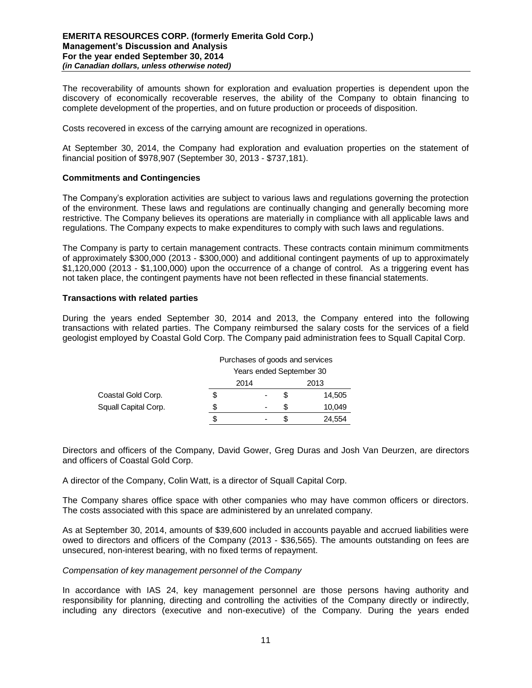The recoverability of amounts shown for exploration and evaluation properties is dependent upon the discovery of economically recoverable reserves, the ability of the Company to obtain financing to complete development of the properties, and on future production or proceeds of disposition.

Costs recovered in excess of the carrying amount are recognized in operations.

At September 30, 2014, the Company had exploration and evaluation properties on the statement of financial position of \$978,907 (September 30, 2013 - \$737,181).

## **Commitments and Contingencies**

The Company's exploration activities are subject to various laws and regulations governing the protection of the environment. These laws and regulations are continually changing and generally becoming more restrictive. The Company believes its operations are materially in compliance with all applicable laws and regulations. The Company expects to make expenditures to comply with such laws and regulations.

The Company is party to certain management contracts. These contracts contain minimum commitments of approximately \$300,000 (2013 - \$300,000) and additional contingent payments of up to approximately \$1,120,000 (2013 - \$1,100,000) upon the occurrence of a change of control. As a triggering event has not taken place, the contingent payments have not been reflected in these financial statements.

#### **Transactions with related parties**

During the years ended September 30, 2014 and 2013, the Company entered into the following transactions with related parties. The Company reimbursed the salary costs for the services of a field geologist employed by Coastal Gold Corp. The Company paid administration fees to Squall Capital Corp.

|                      |    | Purchases of goods and services |      |        |  |  |
|----------------------|----|---------------------------------|------|--------|--|--|
|                      |    | Years ended September 30        |      |        |  |  |
|                      |    | 2014                            | 2013 |        |  |  |
| Coastal Gold Corp.   | \$ |                                 |      | 14,505 |  |  |
| Squall Capital Corp. | S  |                                 | S    | 10,049 |  |  |
|                      | \$ |                                 |      | 24.554 |  |  |

Directors and officers of the Company, David Gower, Greg Duras and Josh Van Deurzen, are directors and officers of Coastal Gold Corp.

A director of the Company, Colin Watt, is a director of Squall Capital Corp.

The Company shares office space with other companies who may have common officers or directors. The costs associated with this space are administered by an unrelated company.

As at September 30, 2014, amounts of \$39,600 included in accounts payable and accrued liabilities were owed to directors and officers of the Company (2013 - \$36,565). The amounts outstanding on fees are unsecured, non-interest bearing, with no fixed terms of repayment.

#### *Compensation of key management personnel of the Company*

In accordance with IAS 24, key management personnel are those persons having authority and responsibility for planning, directing and controlling the activities of the Company directly or indirectly, including any directors (executive and non-executive) of the Company. During the years ended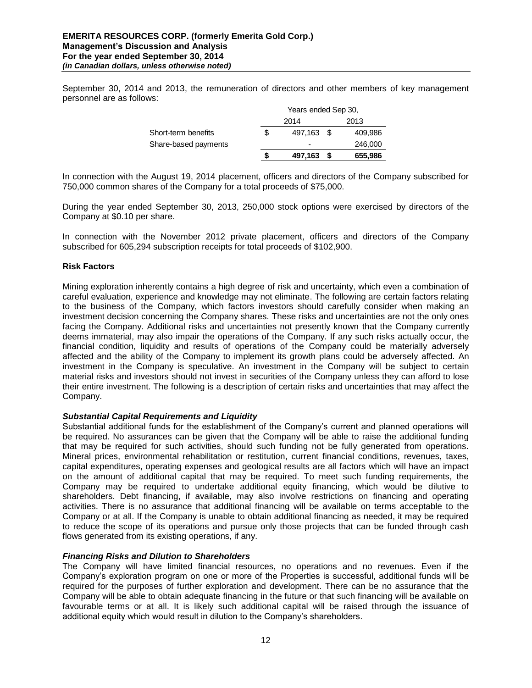September 30, 2014 and 2013, the remuneration of directors and other members of key management personnel are as follows:

|                      | Years ended Sep 30, |            |  |         |
|----------------------|---------------------|------------|--|---------|
|                      |                     | 2014       |  | 2013    |
| Short-term benefits  | \$.                 | 497.163 \$ |  | 409,986 |
| Share-based payments |                     | -          |  | 246,000 |
|                      | S                   | 497,163    |  | 655,986 |

In connection with the August 19, 2014 placement, officers and directors of the Company subscribed for 750,000 common shares of the Company for a total proceeds of \$75,000.

During the year ended September 30, 2013, 250,000 stock options were exercised by directors of the Company at \$0.10 per share.

In connection with the November 2012 private placement, officers and directors of the Company subscribed for 605,294 subscription receipts for total proceeds of \$102,900.

## **Risk Factors**

Mining exploration inherently contains a high degree of risk and uncertainty, which even a combination of careful evaluation, experience and knowledge may not eliminate. The following are certain factors relating to the business of the Company, which factors investors should carefully consider when making an investment decision concerning the Company shares. These risks and uncertainties are not the only ones facing the Company. Additional risks and uncertainties not presently known that the Company currently deems immaterial, may also impair the operations of the Company. If any such risks actually occur, the financial condition, liquidity and results of operations of the Company could be materially adversely affected and the ability of the Company to implement its growth plans could be adversely affected. An investment in the Company is speculative. An investment in the Company will be subject to certain material risks and investors should not invest in securities of the Company unless they can afford to lose their entire investment. The following is a description of certain risks and uncertainties that may affect the Company.

## *Substantial Capital Requirements and Liquidity*

Substantial additional funds for the establishment of the Company's current and planned operations will be required. No assurances can be given that the Company will be able to raise the additional funding that may be required for such activities, should such funding not be fully generated from operations. Mineral prices, environmental rehabilitation or restitution, current financial conditions, revenues, taxes, capital expenditures, operating expenses and geological results are all factors which will have an impact on the amount of additional capital that may be required. To meet such funding requirements, the Company may be required to undertake additional equity financing, which would be dilutive to shareholders. Debt financing, if available, may also involve restrictions on financing and operating activities. There is no assurance that additional financing will be available on terms acceptable to the Company or at all. If the Company is unable to obtain additional financing as needed, it may be required to reduce the scope of its operations and pursue only those projects that can be funded through cash flows generated from its existing operations, if any.

## *Financing Risks and Dilution to Shareholders*

The Company will have limited financial resources, no operations and no revenues. Even if the Company's exploration program on one or more of the Properties is successful, additional funds will be required for the purposes of further exploration and development. There can be no assurance that the Company will be able to obtain adequate financing in the future or that such financing will be available on favourable terms or at all. It is likely such additional capital will be raised through the issuance of additional equity which would result in dilution to the Company's shareholders.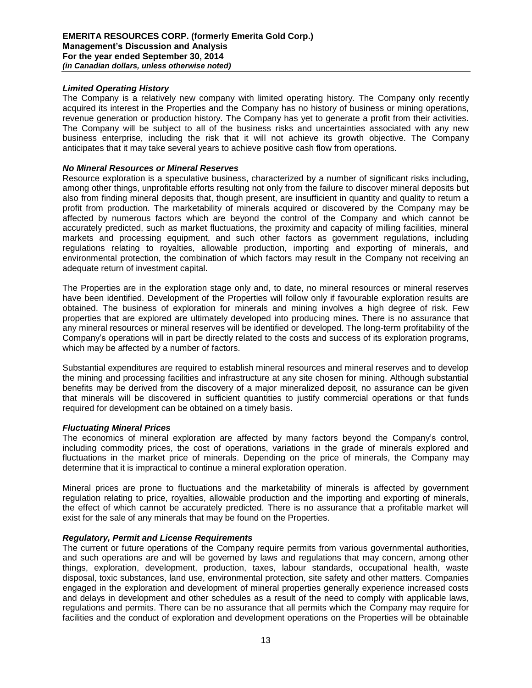#### *Limited Operating History*

The Company is a relatively new company with limited operating history. The Company only recently acquired its interest in the Properties and the Company has no history of business or mining operations, revenue generation or production history. The Company has yet to generate a profit from their activities. The Company will be subject to all of the business risks and uncertainties associated with any new business enterprise, including the risk that it will not achieve its growth objective. The Company anticipates that it may take several years to achieve positive cash flow from operations.

#### *No Mineral Resources or Mineral Reserves*

Resource exploration is a speculative business, characterized by a number of significant risks including, among other things, unprofitable efforts resulting not only from the failure to discover mineral deposits but also from finding mineral deposits that, though present, are insufficient in quantity and quality to return a profit from production. The marketability of minerals acquired or discovered by the Company may be affected by numerous factors which are beyond the control of the Company and which cannot be accurately predicted, such as market fluctuations, the proximity and capacity of milling facilities, mineral markets and processing equipment, and such other factors as government regulations, including regulations relating to royalties, allowable production, importing and exporting of minerals, and environmental protection, the combination of which factors may result in the Company not receiving an adequate return of investment capital.

The Properties are in the exploration stage only and, to date, no mineral resources or mineral reserves have been identified. Development of the Properties will follow only if favourable exploration results are obtained. The business of exploration for minerals and mining involves a high degree of risk. Few properties that are explored are ultimately developed into producing mines. There is no assurance that any mineral resources or mineral reserves will be identified or developed. The long-term profitability of the Company's operations will in part be directly related to the costs and success of its exploration programs, which may be affected by a number of factors.

Substantial expenditures are required to establish mineral resources and mineral reserves and to develop the mining and processing facilities and infrastructure at any site chosen for mining. Although substantial benefits may be derived from the discovery of a major mineralized deposit, no assurance can be given that minerals will be discovered in sufficient quantities to justify commercial operations or that funds required for development can be obtained on a timely basis.

#### *Fluctuating Mineral Prices*

The economics of mineral exploration are affected by many factors beyond the Company's control, including commodity prices, the cost of operations, variations in the grade of minerals explored and fluctuations in the market price of minerals. Depending on the price of minerals, the Company may determine that it is impractical to continue a mineral exploration operation.

Mineral prices are prone to fluctuations and the marketability of minerals is affected by government regulation relating to price, royalties, allowable production and the importing and exporting of minerals, the effect of which cannot be accurately predicted. There is no assurance that a profitable market will exist for the sale of any minerals that may be found on the Properties.

#### *Regulatory, Permit and License Requirements*

The current or future operations of the Company require permits from various governmental authorities, and such operations are and will be governed by laws and regulations that may concern, among other things, exploration, development, production, taxes, labour standards, occupational health, waste disposal, toxic substances, land use, environmental protection, site safety and other matters. Companies engaged in the exploration and development of mineral properties generally experience increased costs and delays in development and other schedules as a result of the need to comply with applicable laws, regulations and permits. There can be no assurance that all permits which the Company may require for facilities and the conduct of exploration and development operations on the Properties will be obtainable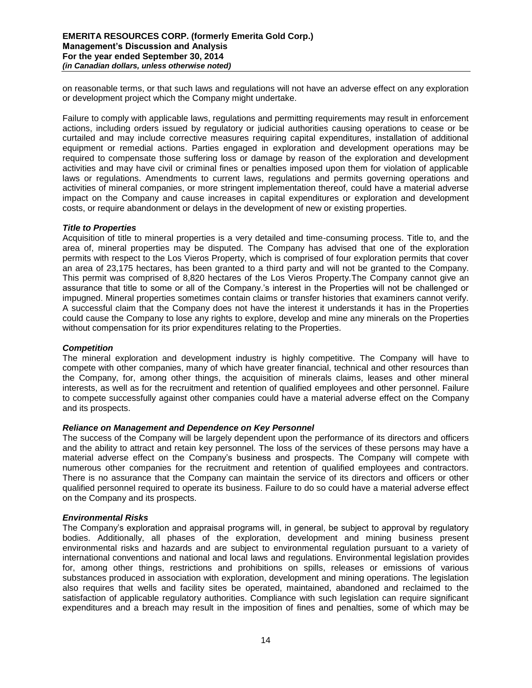on reasonable terms, or that such laws and regulations will not have an adverse effect on any exploration or development project which the Company might undertake.

Failure to comply with applicable laws, regulations and permitting requirements may result in enforcement actions, including orders issued by regulatory or judicial authorities causing operations to cease or be curtailed and may include corrective measures requiring capital expenditures, installation of additional equipment or remedial actions. Parties engaged in exploration and development operations may be required to compensate those suffering loss or damage by reason of the exploration and development activities and may have civil or criminal fines or penalties imposed upon them for violation of applicable laws or regulations. Amendments to current laws, regulations and permits governing operations and activities of mineral companies, or more stringent implementation thereof, could have a material adverse impact on the Company and cause increases in capital expenditures or exploration and development costs, or require abandonment or delays in the development of new or existing properties.

#### *Title to Properties*

Acquisition of title to mineral properties is a very detailed and time-consuming process. Title to, and the area of, mineral properties may be disputed. The Company has advised that one of the exploration permits with respect to the Los Vieros Property, which is comprised of four exploration permits that cover an area of 23,175 hectares, has been granted to a third party and will not be granted to the Company. This permit was comprised of 8,820 hectares of the Los Vieros Property.The Company cannot give an assurance that title to some or all of the Company.'s interest in the Properties will not be challenged or impugned. Mineral properties sometimes contain claims or transfer histories that examiners cannot verify. A successful claim that the Company does not have the interest it understands it has in the Properties could cause the Company to lose any rights to explore, develop and mine any minerals on the Properties without compensation for its prior expenditures relating to the Properties.

#### *Competition*

The mineral exploration and development industry is highly competitive. The Company will have to compete with other companies, many of which have greater financial, technical and other resources than the Company, for, among other things, the acquisition of minerals claims, leases and other mineral interests, as well as for the recruitment and retention of qualified employees and other personnel. Failure to compete successfully against other companies could have a material adverse effect on the Company and its prospects.

## *Reliance on Management and Dependence on Key Personnel*

The success of the Company will be largely dependent upon the performance of its directors and officers and the ability to attract and retain key personnel. The loss of the services of these persons may have a material adverse effect on the Company's business and prospects. The Company will compete with numerous other companies for the recruitment and retention of qualified employees and contractors. There is no assurance that the Company can maintain the service of its directors and officers or other qualified personnel required to operate its business. Failure to do so could have a material adverse effect on the Company and its prospects.

## *Environmental Risks*

The Company's exploration and appraisal programs will, in general, be subject to approval by regulatory bodies. Additionally, all phases of the exploration, development and mining business present environmental risks and hazards and are subject to environmental regulation pursuant to a variety of international conventions and national and local laws and regulations. Environmental legislation provides for, among other things, restrictions and prohibitions on spills, releases or emissions of various substances produced in association with exploration, development and mining operations. The legislation also requires that wells and facility sites be operated, maintained, abandoned and reclaimed to the satisfaction of applicable regulatory authorities. Compliance with such legislation can require significant expenditures and a breach may result in the imposition of fines and penalties, some of which may be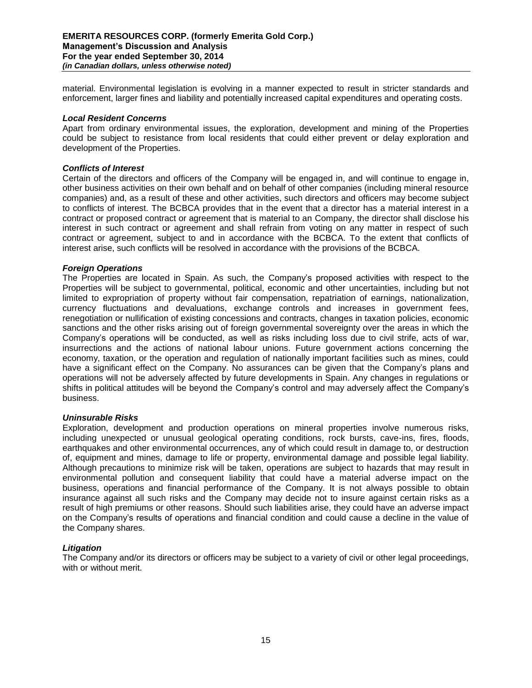material. Environmental legislation is evolving in a manner expected to result in stricter standards and enforcement, larger fines and liability and potentially increased capital expenditures and operating costs.

#### *Local Resident Concerns*

Apart from ordinary environmental issues, the exploration, development and mining of the Properties could be subject to resistance from local residents that could either prevent or delay exploration and development of the Properties.

#### *Conflicts of Interest*

Certain of the directors and officers of the Company will be engaged in, and will continue to engage in, other business activities on their own behalf and on behalf of other companies (including mineral resource companies) and, as a result of these and other activities, such directors and officers may become subject to conflicts of interest. The BCBCA provides that in the event that a director has a material interest in a contract or proposed contract or agreement that is material to an Company, the director shall disclose his interest in such contract or agreement and shall refrain from voting on any matter in respect of such contract or agreement, subject to and in accordance with the BCBCA. To the extent that conflicts of interest arise, such conflicts will be resolved in accordance with the provisions of the BCBCA.

#### *Foreign Operations*

The Properties are located in Spain. As such, the Company's proposed activities with respect to the Properties will be subject to governmental, political, economic and other uncertainties, including but not limited to expropriation of property without fair compensation, repatriation of earnings, nationalization, currency fluctuations and devaluations, exchange controls and increases in government fees, renegotiation or nullification of existing concessions and contracts, changes in taxation policies, economic sanctions and the other risks arising out of foreign governmental sovereignty over the areas in which the Company's operations will be conducted, as well as risks including loss due to civil strife, acts of war, insurrections and the actions of national labour unions. Future government actions concerning the economy, taxation, or the operation and regulation of nationally important facilities such as mines, could have a significant effect on the Company. No assurances can be given that the Company's plans and operations will not be adversely affected by future developments in Spain. Any changes in regulations or shifts in political attitudes will be beyond the Company's control and may adversely affect the Company's business.

# *Uninsurable Risks*

Exploration, development and production operations on mineral properties involve numerous risks, including unexpected or unusual geological operating conditions, rock bursts, cave-ins, fires, floods, earthquakes and other environmental occurrences, any of which could result in damage to, or destruction of, equipment and mines, damage to life or property, environmental damage and possible legal liability. Although precautions to minimize risk will be taken, operations are subject to hazards that may result in environmental pollution and consequent liability that could have a material adverse impact on the business, operations and financial performance of the Company. It is not always possible to obtain insurance against all such risks and the Company may decide not to insure against certain risks as a result of high premiums or other reasons. Should such liabilities arise, they could have an adverse impact on the Company's results of operations and financial condition and could cause a decline in the value of the Company shares.

## *Litigation*

The Company and/or its directors or officers may be subject to a variety of civil or other legal proceedings, with or without merit.